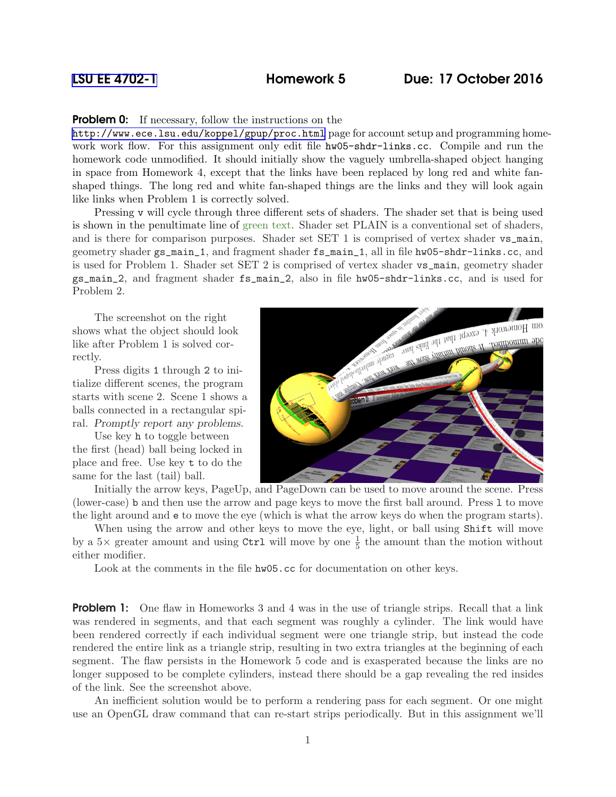## **Problem 0:** If necessary, follow the instructions on the

<http://www.ece.lsu.edu/koppel/gpup/proc.html> page for account setup and programming homework work flow. For this assignment only edit file hw05-shdr-links.cc. Compile and run the homework code unmodified. It should initially show the vaguely umbrella-shaped object hanging in space from Homework 4, except that the links have been replaced by long red and white fanshaped things. The long red and white fan-shaped things are the links and they will look again like links when Problem 1 is correctly solved.

Pressing v will cycle through three different sets of shaders. The shader set that is being used is shown in the penultimate line of green text. Shader set PLAIN is a conventional set of shaders, and is there for comparison purposes. Shader set SET 1 is comprised of vertex shader vs\_main, geometry shader gs\_main\_1, and fragment shader fs\_main\_1, all in file hw05-shdr-links.cc, and is used for Problem 1. Shader set SET 2 is comprised of vertex shader vs\_main, geometry shader gs\_main\_2, and fragment shader fs\_main\_2, also in file hw05-shdr-links.cc, and is used for Problem 2.

The screenshot on the right shows what the object should look like after Problem 1 is solved correctly.

Press digits 1 through 2 to initialize different scenes, the program starts with scene 2. Scene 1 shows a balls connected in a rectangular spiral. Promptly report any problems.

Use key h to toggle between the first (head) ball being locked in place and free. Use key t to do the same for the last (tail) ball.



Initially the arrow keys, PageUp, and PageDown can be used to move around the scene. Press (lower-case) b and then use the arrow and page keys to move the first ball around. Press l to move the light around and e to move the eye (which is what the arrow keys do when the program starts).

When using the arrow and other keys to move the eye, light, or ball using Shift will move by a  $5\times$  greater amount and using Ctrl will move by one  $\frac{1}{5}$  the amount than the motion without either modifier.

Look at the comments in the file hw05.cc for documentation on other keys.

**Problem 1:** One flaw in Homeworks 3 and 4 was in the use of triangle strips. Recall that a link was rendered in segments, and that each segment was roughly a cylinder. The link would have been rendered correctly if each individual segment were one triangle strip, but instead the code rendered the entire link as a triangle strip, resulting in two extra triangles at the beginning of each segment. The flaw persists in the Homework 5 code and is exasperated because the links are no longer supposed to be complete cylinders, instead there should be a gap revealing the red insides of the link. See the screenshot above.

An inefficient solution would be to perform a rendering pass for each segment. Or one might use an OpenGL draw command that can re-start strips periodically. But in this assignment we'll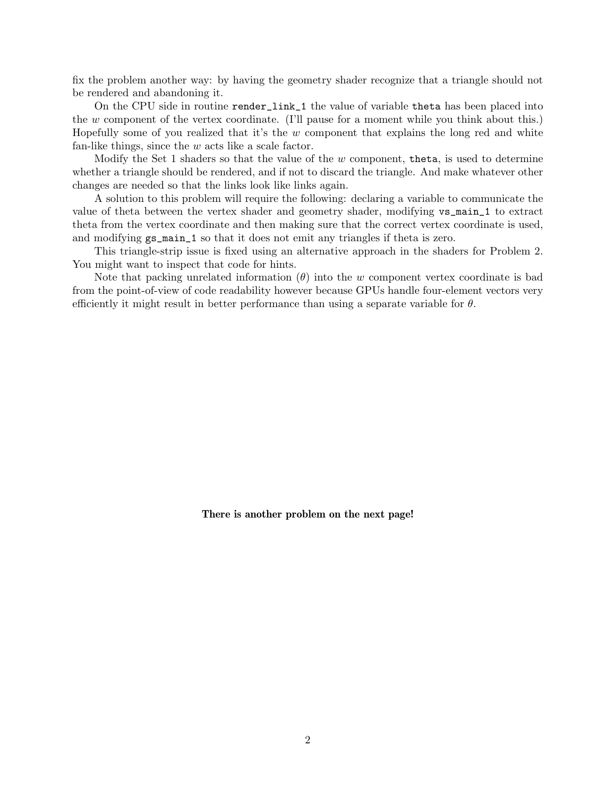fix the problem another way: by having the geometry shader recognize that a triangle should not be rendered and abandoning it.

On the CPU side in routine render\_link\_1 the value of variable theta has been placed into the  $w$  component of the vertex coordinate. (I'll pause for a moment while you think about this.) Hopefully some of you realized that it's the  $w$  component that explains the long red and white fan-like things, since the w acts like a scale factor.

Modify the Set 1 shaders so that the value of the  $w$  component, theta, is used to determine whether a triangle should be rendered, and if not to discard the triangle. And make whatever other changes are needed so that the links look like links again.

A solution to this problem will require the following: declaring a variable to communicate the value of theta between the vertex shader and geometry shader, modifying vs\_main\_1 to extract theta from the vertex coordinate and then making sure that the correct vertex coordinate is used, and modifying gs\_main\_1 so that it does not emit any triangles if theta is zero.

This triangle-strip issue is fixed using an alternative approach in the shaders for Problem 2. You might want to inspect that code for hints.

Note that packing unrelated information  $(\theta)$  into the w component vertex coordinate is bad from the point-of-view of code readability however because GPUs handle four-element vectors very efficiently it might result in better performance than using a separate variable for  $\theta$ .

There is another problem on the next page!